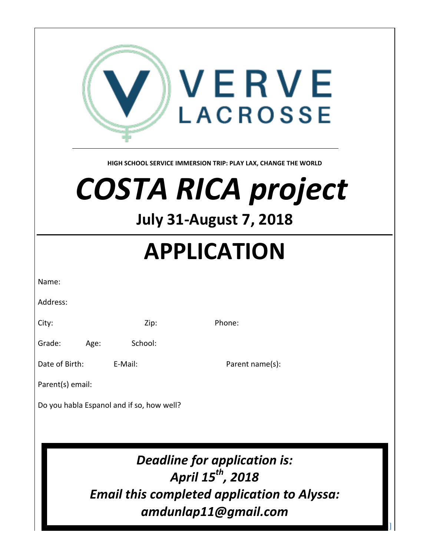| VERVE<br><b>LACROSSE</b><br>HIGH SCHOOL SERVICE IMMERSION TRIP: PLAY LAX, CHANGE THE WORLD<br><b>COSTA RICA project</b><br><b>July 31-August 7, 2018</b> |                    |                 |
|----------------------------------------------------------------------------------------------------------------------------------------------------------|--------------------|-----------------|
| <b>APPLICATION</b>                                                                                                                                       |                    |                 |
|                                                                                                                                                          |                    |                 |
| Name:                                                                                                                                                    |                    |                 |
| Address:                                                                                                                                                 |                    |                 |
| City:                                                                                                                                                    | Zip:               | Phone:          |
| Grade:<br>Age:<br>Date of Birth:                                                                                                                         | School:<br>E-Mail: | Parent name(s): |
| Parent(s) email:                                                                                                                                         |                    |                 |
| Do you habla Espanol and if so, how well?                                                                                                                |                    |                 |
| Deadline for application is:<br>April 15 <sup>th</sup> , 2018<br><b>Email this completed application to Alyssa:</b><br>amdunlap11@gmail.com              |                    |                 |

 $\Gamma$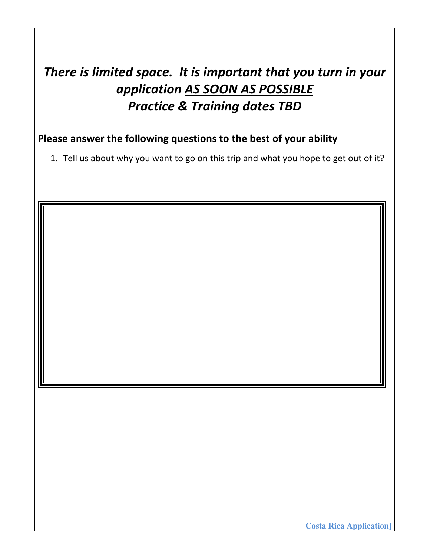## There is limited space. It is important that you turn in your *application AS SOON AS POSSIBLE* **Practice & Training dates TBD**

### Please answer the following questions to the best of your ability

1. Tell us about why you want to go on this trip and what you hope to get out of it?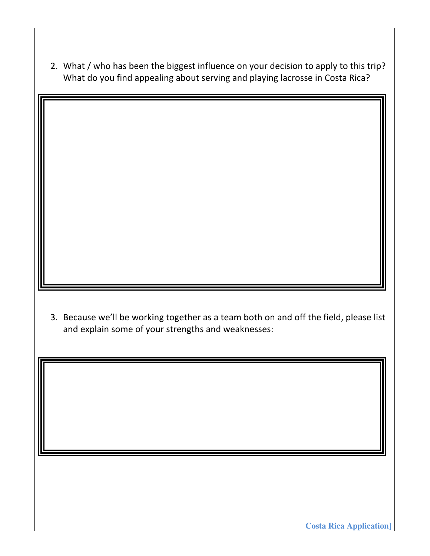2. What / who has been the biggest influence on your decision to apply to this trip? What do you find appealing about serving and playing lacrosse in Costa Rica?

3. Because we'll be working together as a team both on and off the field, please list and explain some of your strengths and weaknesses: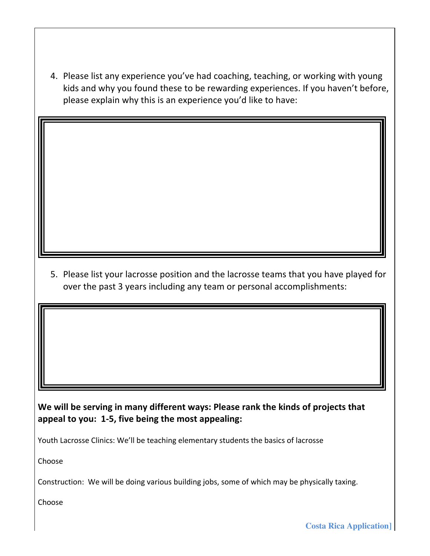4. Please list any experience you've had coaching, teaching, or working with young kids and why you found these to be rewarding experiences. If you haven't before, please explain why this is an experience you'd like to have:

5. Please list your lacrosse position and the lacrosse teams that you have played for over the past 3 years including any team or personal accomplishments:

We will be serving in many different ways: Please rank the kinds of projects that appeal to you: 1-5, five being the most appealing:

Youth Lacrosse Clinics: We'll be teaching elementary students the basics of lacrosse

Choose

Construction: We will be doing various building jobs, some of which may be physically taxing.

Choose

**Costa Rica Application]**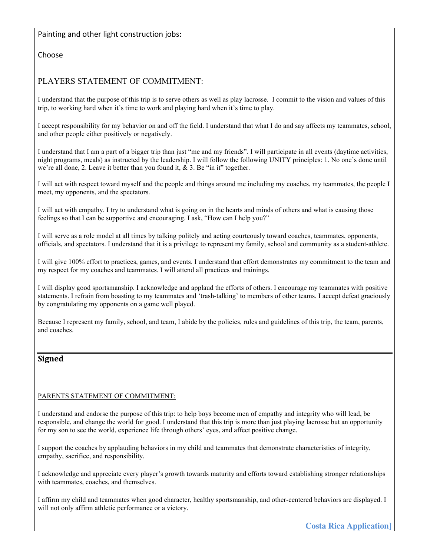#### Painting and other light construction jobs:

Choose

#### PLAYERS STATEMENT OF COMMITMENT:

I understand that the purpose of this trip is to serve others as well as play lacrosse. I commit to the vision and values of this trip, to working hard when it's time to work and playing hard when it's time to play.

I accept responsibility for my behavior on and off the field. I understand that what I do and say affects my teammates, school, and other people either positively or negatively.

I understand that I am a part of a bigger trip than just "me and my friends". I will participate in all events (daytime activities, night programs, meals) as instructed by the leadership. I will follow the following UNITY principles: 1. No one's done until we're all done, 2. Leave it better than you found it, & 3. Be "in it" together.

I will act with respect toward myself and the people and things around me including my coaches, my teammates, the people I meet, my opponents, and the spectators.

I will act with empathy. I try to understand what is going on in the hearts and minds of others and what is causing those feelings so that I can be supportive and encouraging. I ask, "How can I help you?"

I will serve as a role model at all times by talking politely and acting courteously toward coaches, teammates, opponents, officials, and spectators. I understand that it is a privilege to represent my family, school and community as a student-athlete.

I will give 100% effort to practices, games, and events. I understand that effort demonstrates my commitment to the team and my respect for my coaches and teammates. I will attend all practices and trainings.

I will display good sportsmanship. I acknowledge and applaud the efforts of others. I encourage my teammates with positive statements. I refrain from boasting to my teammates and 'trash-talking' to members of other teams. I accept defeat graciously by congratulating my opponents on a game well played.

Because I represent my family, school, and team, I abide by the policies, rules and guidelines of this trip, the team, parents, and coaches.

#### **Signed**

#### PARENTS STATEMENT OF COMMITMENT:

I understand and endorse the purpose of this trip: to help boys become men of empathy and integrity who will lead, be responsible, and change the world for good. I understand that this trip is more than just playing lacrosse but an opportunity for my son to see the world, experience life through others' eyes, and affect positive change.

I support the coaches by applauding behaviors in my child and teammates that demonstrate characteristics of integrity, empathy, sacrifice, and responsibility.

I acknowledge and appreciate every player's growth towards maturity and efforts toward establishing stronger relationships with teammates, coaches, and themselves.

I affirm my child and teammates when good character, healthy sportsmanship, and other-centered behaviors are displayed. I will not only affirm athletic performance or a victory.